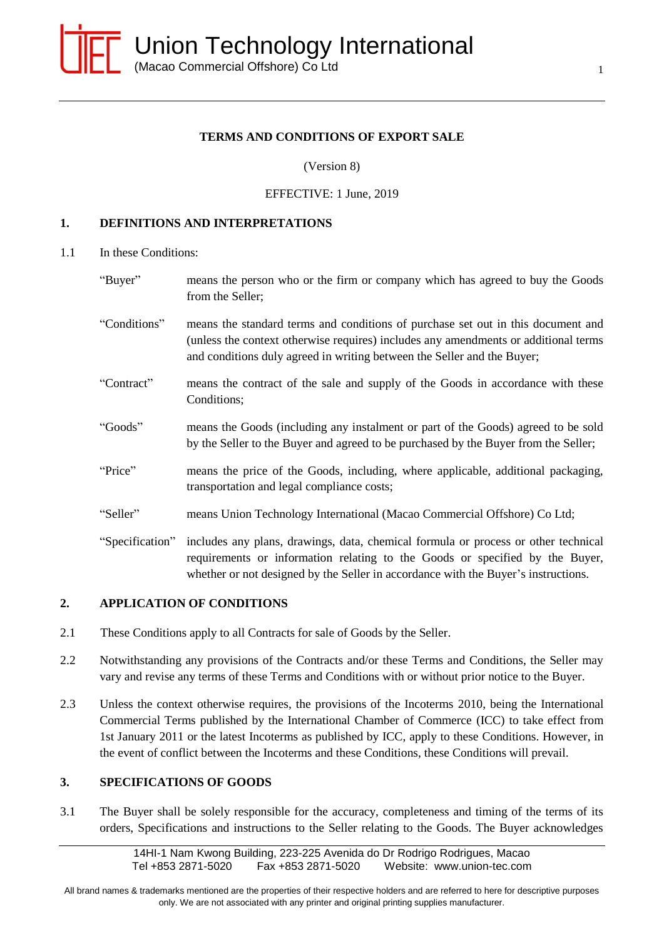

### **TERMS AND CONDITIONS OF EXPORT SALE**

(Version 8)

#### EFFECTIVE: 1 June, 2019

#### **1. DEFINITIONS AND INTERPRETATIONS**

- 1.1 In these Conditions:
	- "Buyer" means the person who or the firm or company which has agreed to buy the Goods from the Seller;
	- "Conditions" means the standard terms and conditions of purchase set out in this document and (unless the context otherwise requires) includes any amendments or additional terms and conditions duly agreed in writing between the Seller and the Buyer;
	- "Contract" means the contract of the sale and supply of the Goods in accordance with these Conditions;
	- "Goods" means the Goods (including any instalment or part of the Goods) agreed to be sold by the Seller to the Buyer and agreed to be purchased by the Buyer from the Seller;
	- "Price" means the price of the Goods, including, where applicable, additional packaging, transportation and legal compliance costs;
	- "Seller" means Union Technology International (Macao Commercial Offshore) Co Ltd;
	- "Specification" includes any plans, drawings, data, chemical formula or process or other technical requirements or information relating to the Goods or specified by the Buyer, whether or not designed by the Seller in accordance with the Buyer's instructions.

### **2. APPLICATION OF CONDITIONS**

- 2.1 These Conditions apply to all Contracts for sale of Goods by the Seller.
- 2.2 Notwithstanding any provisions of the Contracts and/or these Terms and Conditions, the Seller may vary and revise any terms of these Terms and Conditions with or without prior notice to the Buyer.
- 2.3 Unless the context otherwise requires, the provisions of the Incoterms 2010, being the International Commercial Terms published by the International Chamber of Commerce (ICC) to take effect from 1st January 2011 or the latest Incoterms as published by ICC, apply to these Conditions. However, in the event of conflict between the Incoterms and these Conditions, these Conditions will prevail.

### **3. SPECIFICATIONS OF GOODS**

3.1 The Buyer shall be solely responsible for the accuracy, completeness and timing of the terms of its orders, Specifications and instructions to the Seller relating to the Goods. The Buyer acknowledges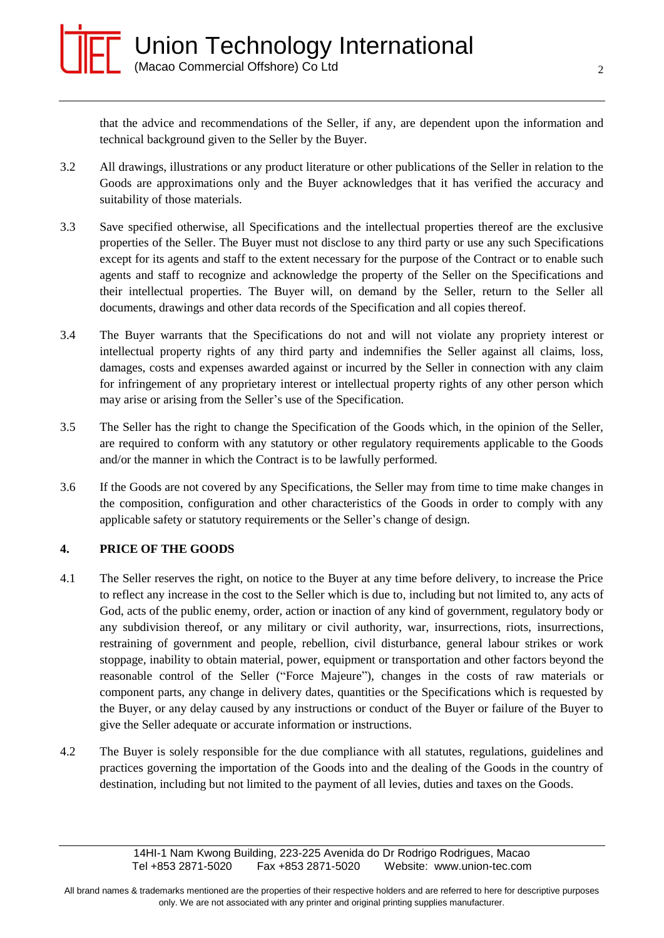

that the advice and recommendations of the Seller, if any, are dependent upon the information and technical background given to the Seller by the Buyer.

- 3.2 All drawings, illustrations or any product literature or other publications of the Seller in relation to the Goods are approximations only and the Buyer acknowledges that it has verified the accuracy and suitability of those materials.
- 3.3 Save specified otherwise, all Specifications and the intellectual properties thereof are the exclusive properties of the Seller. The Buyer must not disclose to any third party or use any such Specifications except for its agents and staff to the extent necessary for the purpose of the Contract or to enable such agents and staff to recognize and acknowledge the property of the Seller on the Specifications and their intellectual properties. The Buyer will, on demand by the Seller, return to the Seller all documents, drawings and other data records of the Specification and all copies thereof.
- 3.4 The Buyer warrants that the Specifications do not and will not violate any propriety interest or intellectual property rights of any third party and indemnifies the Seller against all claims, loss, damages, costs and expenses awarded against or incurred by the Seller in connection with any claim for infringement of any proprietary interest or intellectual property rights of any other person which may arise or arising from the Seller's use of the Specification.
- 3.5 The Seller has the right to change the Specification of the Goods which, in the opinion of the Seller, are required to conform with any statutory or other regulatory requirements applicable to the Goods and/or the manner in which the Contract is to be lawfully performed.
- 3.6 If the Goods are not covered by any Specifications, the Seller may from time to time make changes in the composition, configuration and other characteristics of the Goods in order to comply with any applicable safety or statutory requirements or the Seller's change of design.

# **4. PRICE OF THE GOODS**

- 4.1 The Seller reserves the right, on notice to the Buyer at any time before delivery, to increase the Price to reflect any increase in the cost to the Seller which is due to, including but not limited to, any acts of God, acts of the public enemy, order, action or inaction of any kind of government, regulatory body or any subdivision thereof, or any military or civil authority, war, insurrections, riots, insurrections, restraining of government and people, rebellion, civil disturbance, general labour strikes or work stoppage, inability to obtain material, power, equipment or transportation and other factors beyond the reasonable control of the Seller ("Force Majeure"), changes in the costs of raw materials or component parts, any change in delivery dates, quantities or the Specifications which is requested by the Buyer, or any delay caused by any instructions or conduct of the Buyer or failure of the Buyer to give the Seller adequate or accurate information or instructions.
- 4.2 The Buyer is solely responsible for the due compliance with all statutes, regulations, guidelines and practices governing the importation of the Goods into and the dealing of the Goods in the country of destination, including but not limited to the payment of all levies, duties and taxes on the Goods.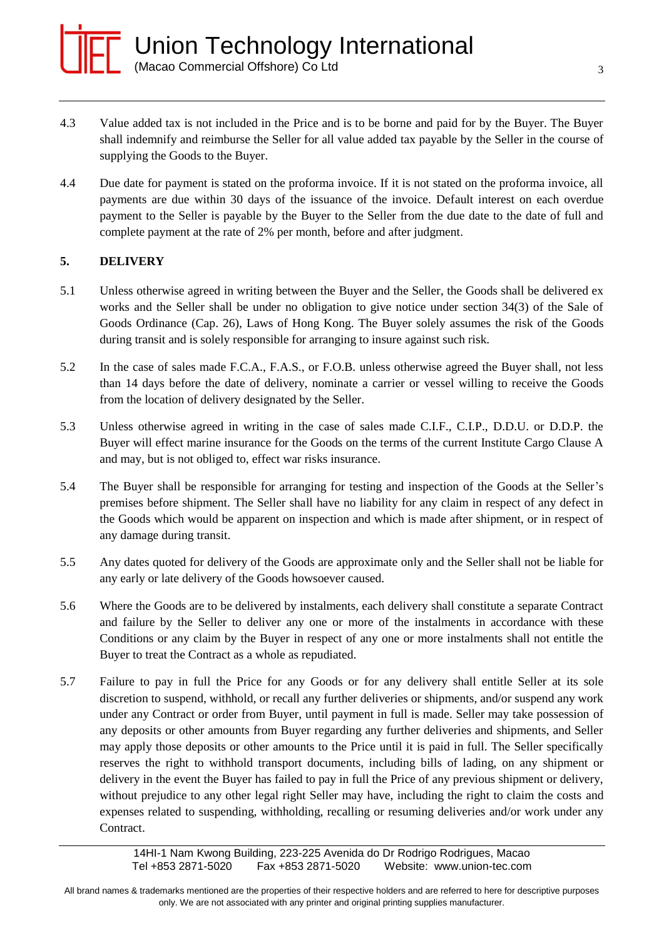

- 4.3 Value added tax is not included in the Price and is to be borne and paid for by the Buyer. The Buyer shall indemnify and reimburse the Seller for all value added tax payable by the Seller in the course of supplying the Goods to the Buyer.
- 4.4 Due date for payment is stated on the proforma invoice. If it is not stated on the proforma invoice, all payments are due within 30 days of the issuance of the invoice. Default interest on each overdue payment to the Seller is payable by the Buyer to the Seller from the due date to the date of full and complete payment at the rate of 2% per month, before and after judgment.

# **5. DELIVERY**

- 5.1 Unless otherwise agreed in writing between the Buyer and the Seller, the Goods shall be delivered ex works and the Seller shall be under no obligation to give notice under section 34(3) of the Sale of Goods Ordinance (Cap. 26), Laws of Hong Kong. The Buyer solely assumes the risk of the Goods during transit and is solely responsible for arranging to insure against such risk.
- 5.2 In the case of sales made F.C.A., F.A.S., or F.O.B. unless otherwise agreed the Buyer shall, not less than 14 days before the date of delivery, nominate a carrier or vessel willing to receive the Goods from the location of delivery designated by the Seller.
- 5.3 Unless otherwise agreed in writing in the case of sales made C.I.F., C.I.P., D.D.U. or D.D.P. the Buyer will effect marine insurance for the Goods on the terms of the current Institute Cargo Clause A and may, but is not obliged to, effect war risks insurance.
- 5.4 The Buyer shall be responsible for arranging for testing and inspection of the Goods at the Seller's premises before shipment. The Seller shall have no liability for any claim in respect of any defect in the Goods which would be apparent on inspection and which is made after shipment, or in respect of any damage during transit.
- 5.5 Any dates quoted for delivery of the Goods are approximate only and the Seller shall not be liable for any early or late delivery of the Goods howsoever caused.
- 5.6 Where the Goods are to be delivered by instalments, each delivery shall constitute a separate Contract and failure by the Seller to deliver any one or more of the instalments in accordance with these Conditions or any claim by the Buyer in respect of any one or more instalments shall not entitle the Buyer to treat the Contract as a whole as repudiated.
- 5.7 Failure to pay in full the Price for any Goods or for any delivery shall entitle Seller at its sole discretion to suspend, withhold, or recall any further deliveries or shipments, and/or suspend any work under any Contract or order from Buyer, until payment in full is made. Seller may take possession of any deposits or other amounts from Buyer regarding any further deliveries and shipments, and Seller may apply those deposits or other amounts to the Price until it is paid in full. The Seller specifically reserves the right to withhold transport documents, including bills of lading, on any shipment or delivery in the event the Buyer has failed to pay in full the Price of any previous shipment or delivery, without prejudice to any other legal right Seller may have, including the right to claim the costs and expenses related to suspending, withholding, recalling or resuming deliveries and/or work under any Contract.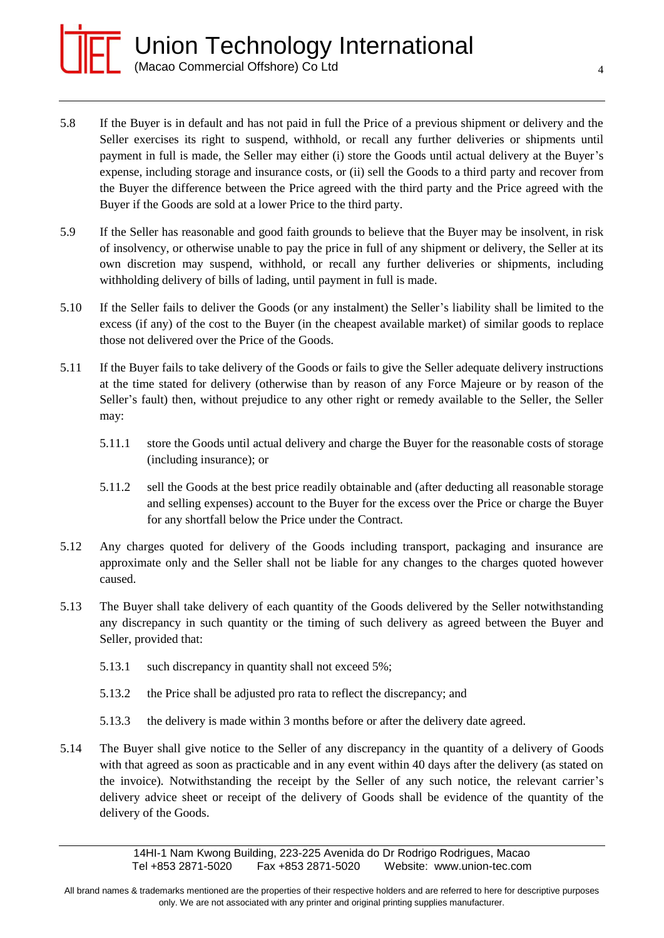

- 5.8 If the Buyer is in default and has not paid in full the Price of a previous shipment or delivery and the Seller exercises its right to suspend, withhold, or recall any further deliveries or shipments until payment in full is made, the Seller may either (i) store the Goods until actual delivery at the Buyer's expense, including storage and insurance costs, or (ii) sell the Goods to a third party and recover from the Buyer the difference between the Price agreed with the third party and the Price agreed with the Buyer if the Goods are sold at a lower Price to the third party.
- 5.9 If the Seller has reasonable and good faith grounds to believe that the Buyer may be insolvent, in risk of insolvency, or otherwise unable to pay the price in full of any shipment or delivery, the Seller at its own discretion may suspend, withhold, or recall any further deliveries or shipments, including withholding delivery of bills of lading, until payment in full is made.
- 5.10 If the Seller fails to deliver the Goods (or any instalment) the Seller's liability shall be limited to the excess (if any) of the cost to the Buyer (in the cheapest available market) of similar goods to replace those not delivered over the Price of the Goods.
- 5.11 If the Buyer fails to take delivery of the Goods or fails to give the Seller adequate delivery instructions at the time stated for delivery (otherwise than by reason of any Force Majeure or by reason of the Seller's fault) then, without prejudice to any other right or remedy available to the Seller, the Seller may:
	- 5.11.1 store the Goods until actual delivery and charge the Buyer for the reasonable costs of storage (including insurance); or
	- 5.11.2 sell the Goods at the best price readily obtainable and (after deducting all reasonable storage and selling expenses) account to the Buyer for the excess over the Price or charge the Buyer for any shortfall below the Price under the Contract.
- 5.12 Any charges quoted for delivery of the Goods including transport, packaging and insurance are approximate only and the Seller shall not be liable for any changes to the charges quoted however caused.
- 5.13 The Buyer shall take delivery of each quantity of the Goods delivered by the Seller notwithstanding any discrepancy in such quantity or the timing of such delivery as agreed between the Buyer and Seller, provided that:
	- 5.13.1 such discrepancy in quantity shall not exceed 5%;
	- 5.13.2 the Price shall be adjusted pro rata to reflect the discrepancy; and
	- 5.13.3 the delivery is made within 3 months before or after the delivery date agreed.
- 5.14 The Buyer shall give notice to the Seller of any discrepancy in the quantity of a delivery of Goods with that agreed as soon as practicable and in any event within 40 days after the delivery (as stated on the invoice). Notwithstanding the receipt by the Seller of any such notice, the relevant carrier's delivery advice sheet or receipt of the delivery of Goods shall be evidence of the quantity of the delivery of the Goods.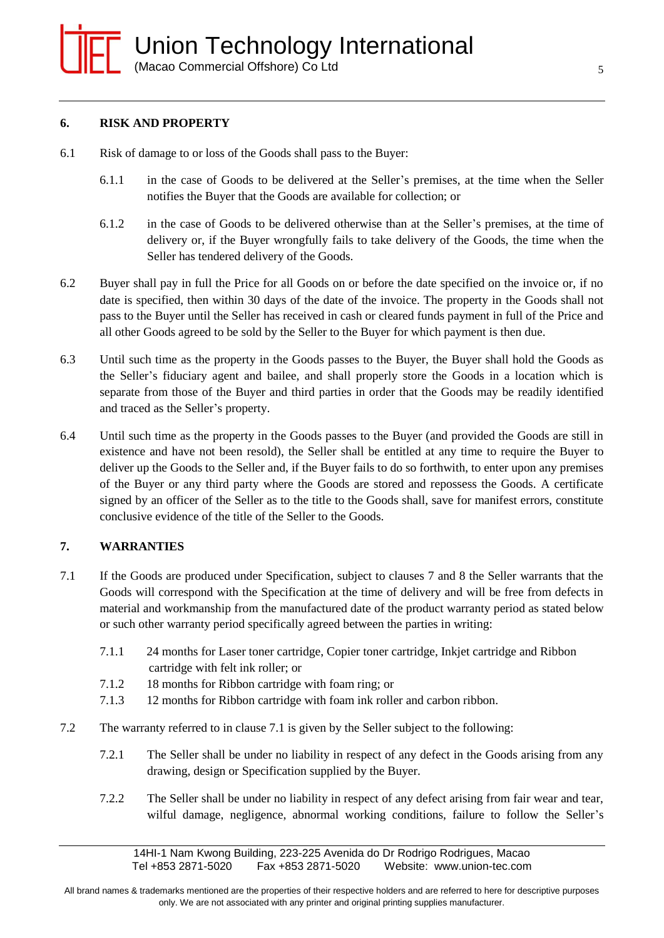#### **6. RISK AND PROPERTY**

- 6.1 Risk of damage to or loss of the Goods shall pass to the Buyer:
	- 6.1.1 in the case of Goods to be delivered at the Seller's premises, at the time when the Seller notifies the Buyer that the Goods are available for collection; or
	- 6.1.2 in the case of Goods to be delivered otherwise than at the Seller's premises, at the time of delivery or, if the Buyer wrongfully fails to take delivery of the Goods, the time when the Seller has tendered delivery of the Goods.
- 6.2 Buyer shall pay in full the Price for all Goods on or before the date specified on the invoice or, if no date is specified, then within 30 days of the date of the invoice. The property in the Goods shall not pass to the Buyer until the Seller has received in cash or cleared funds payment in full of the Price and all other Goods agreed to be sold by the Seller to the Buyer for which payment is then due.
- 6.3 Until such time as the property in the Goods passes to the Buyer, the Buyer shall hold the Goods as the Seller's fiduciary agent and bailee, and shall properly store the Goods in a location which is separate from those of the Buyer and third parties in order that the Goods may be readily identified and traced as the Seller's property.
- 6.4 Until such time as the property in the Goods passes to the Buyer (and provided the Goods are still in existence and have not been resold), the Seller shall be entitled at any time to require the Buyer to deliver up the Goods to the Seller and, if the Buyer fails to do so forthwith, to enter upon any premises of the Buyer or any third party where the Goods are stored and repossess the Goods. A certificate signed by an officer of the Seller as to the title to the Goods shall, save for manifest errors, constitute conclusive evidence of the title of the Seller to the Goods.

#### **7. WARRANTIES**

- 7.1 If the Goods are produced under Specification, subject to clauses 7 and 8 the Seller warrants that the Goods will correspond with the Specification at the time of delivery and will be free from defects in material and workmanship from the manufactured date of the product warranty period as stated below or such other warranty period specifically agreed between the parties in writing:
	- 7.1.1 24 months for Laser toner cartridge, Copier toner cartridge, Inkjet cartridge and Ribbon cartridge with felt ink roller; or
	- 7.1.2 18 months for Ribbon cartridge with foam ring; or
	- 7.1.3 12 months for Ribbon cartridge with foam ink roller and carbon ribbon.
- 7.2 The warranty referred to in clause 7.1 is given by the Seller subject to the following:
	- 7.2.1 The Seller shall be under no liability in respect of any defect in the Goods arising from any drawing, design or Specification supplied by the Buyer.
	- 7.2.2 The Seller shall be under no liability in respect of any defect arising from fair wear and tear, wilful damage, negligence, abnormal working conditions, failure to follow the Seller's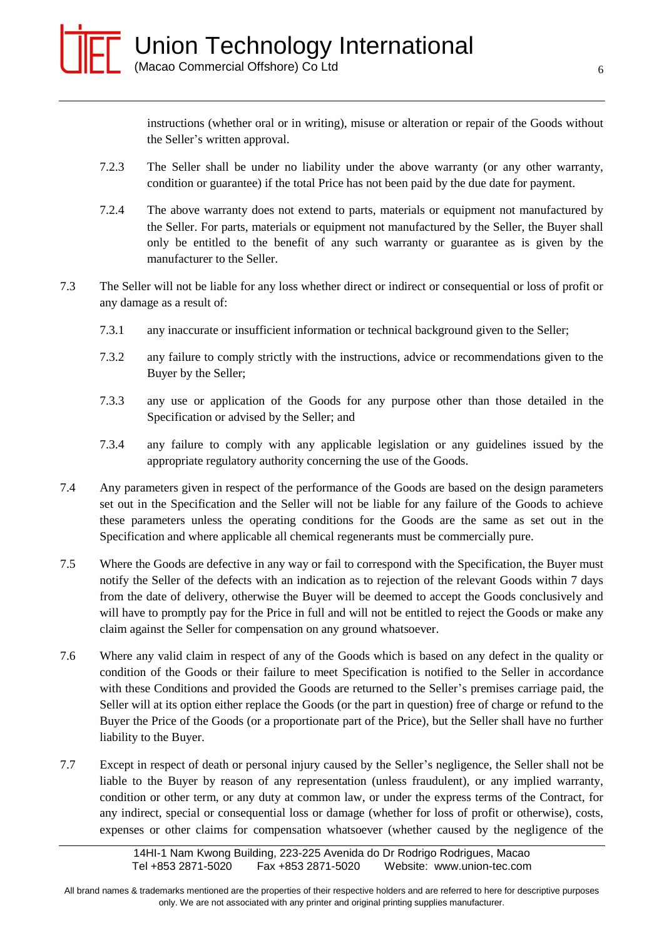instructions (whether oral or in writing), misuse or alteration or repair of the Goods without the Seller's written approval.

- 7.2.3 The Seller shall be under no liability under the above warranty (or any other warranty, condition or guarantee) if the total Price has not been paid by the due date for payment.
- 7.2.4 The above warranty does not extend to parts, materials or equipment not manufactured by the Seller. For parts, materials or equipment not manufactured by the Seller, the Buyer shall only be entitled to the benefit of any such warranty or guarantee as is given by the manufacturer to the Seller.
- 7.3 The Seller will not be liable for any loss whether direct or indirect or consequential or loss of profit or any damage as a result of:
	- 7.3.1 any inaccurate or insufficient information or technical background given to the Seller;
	- 7.3.2 any failure to comply strictly with the instructions, advice or recommendations given to the Buyer by the Seller;
	- 7.3.3 any use or application of the Goods for any purpose other than those detailed in the Specification or advised by the Seller; and
	- 7.3.4 any failure to comply with any applicable legislation or any guidelines issued by the appropriate regulatory authority concerning the use of the Goods.
- 7.4 Any parameters given in respect of the performance of the Goods are based on the design parameters set out in the Specification and the Seller will not be liable for any failure of the Goods to achieve these parameters unless the operating conditions for the Goods are the same as set out in the Specification and where applicable all chemical regenerants must be commercially pure.
- 7.5 Where the Goods are defective in any way or fail to correspond with the Specification, the Buyer must notify the Seller of the defects with an indication as to rejection of the relevant Goods within 7 days from the date of delivery, otherwise the Buyer will be deemed to accept the Goods conclusively and will have to promptly pay for the Price in full and will not be entitled to reject the Goods or make any claim against the Seller for compensation on any ground whatsoever.
- 7.6 Where any valid claim in respect of any of the Goods which is based on any defect in the quality or condition of the Goods or their failure to meet Specification is notified to the Seller in accordance with these Conditions and provided the Goods are returned to the Seller's premises carriage paid, the Seller will at its option either replace the Goods (or the part in question) free of charge or refund to the Buyer the Price of the Goods (or a proportionate part of the Price), but the Seller shall have no further liability to the Buyer.
- 7.7 Except in respect of death or personal injury caused by the Seller's negligence, the Seller shall not be liable to the Buyer by reason of any representation (unless fraudulent), or any implied warranty, condition or other term, or any duty at common law, or under the express terms of the Contract, for any indirect, special or consequential loss or damage (whether for loss of profit or otherwise), costs, expenses or other claims for compensation whatsoever (whether caused by the negligence of the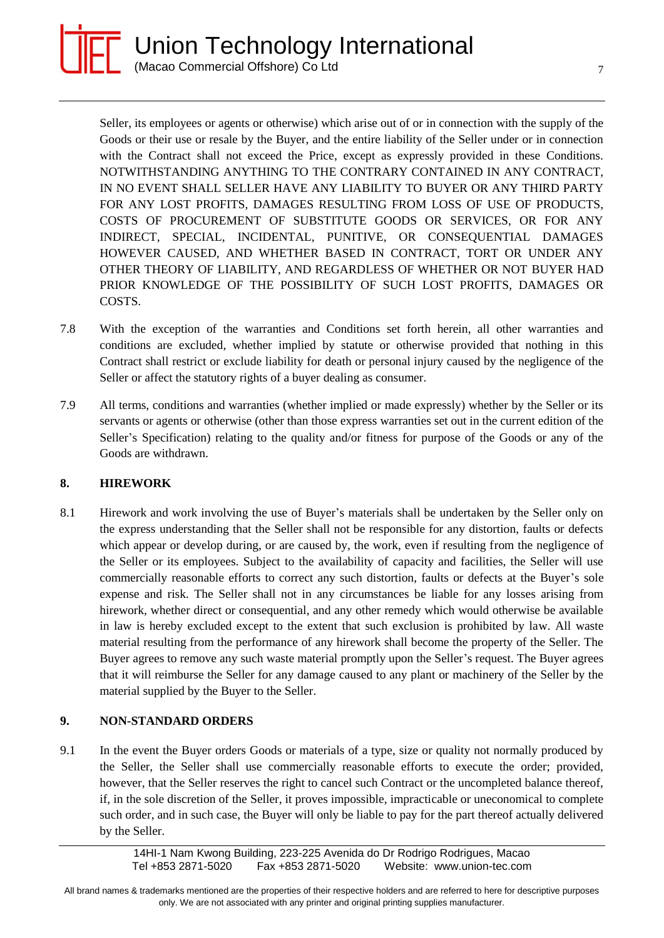

Seller, its employees or agents or otherwise) which arise out of or in connection with the supply of the Goods or their use or resale by the Buyer, and the entire liability of the Seller under or in connection with the Contract shall not exceed the Price, except as expressly provided in these Conditions. NOTWITHSTANDING ANYTHING TO THE CONTRARY CONTAINED IN ANY CONTRACT, IN NO EVENT SHALL SELLER HAVE ANY LIABILITY TO BUYER OR ANY THIRD PARTY FOR ANY LOST PROFITS, DAMAGES RESULTING FROM LOSS OF USE OF PRODUCTS, COSTS OF PROCUREMENT OF SUBSTITUTE GOODS OR SERVICES, OR FOR ANY INDIRECT, SPECIAL, INCIDENTAL, PUNITIVE, OR CONSEQUENTIAL DAMAGES HOWEVER CAUSED, AND WHETHER BASED IN CONTRACT, TORT OR UNDER ANY OTHER THEORY OF LIABILITY, AND REGARDLESS OF WHETHER OR NOT BUYER HAD PRIOR KNOWLEDGE OF THE POSSIBILITY OF SUCH LOST PROFITS, DAMAGES OR COSTS.

- 7.8 With the exception of the warranties and Conditions set forth herein, all other warranties and conditions are excluded, whether implied by statute or otherwise provided that nothing in this Contract shall restrict or exclude liability for death or personal injury caused by the negligence of the Seller or affect the statutory rights of a buyer dealing as consumer.
- 7.9 All terms, conditions and warranties (whether implied or made expressly) whether by the Seller or its servants or agents or otherwise (other than those express warranties set out in the current edition of the Seller's Specification) relating to the quality and/or fitness for purpose of the Goods or any of the Goods are withdrawn.

# **8. HIREWORK**

8.1 Hirework and work involving the use of Buyer's materials shall be undertaken by the Seller only on the express understanding that the Seller shall not be responsible for any distortion, faults or defects which appear or develop during, or are caused by, the work, even if resulting from the negligence of the Seller or its employees. Subject to the availability of capacity and facilities, the Seller will use commercially reasonable efforts to correct any such distortion, faults or defects at the Buyer's sole expense and risk. The Seller shall not in any circumstances be liable for any losses arising from hirework, whether direct or consequential, and any other remedy which would otherwise be available in law is hereby excluded except to the extent that such exclusion is prohibited by law. All waste material resulting from the performance of any hirework shall become the property of the Seller. The Buyer agrees to remove any such waste material promptly upon the Seller's request. The Buyer agrees that it will reimburse the Seller for any damage caused to any plant or machinery of the Seller by the material supplied by the Buyer to the Seller.

# **9. NON-STANDARD ORDERS**

9.1 In the event the Buyer orders Goods or materials of a type, size or quality not normally produced by the Seller, the Seller shall use commercially reasonable efforts to execute the order; provided, however, that the Seller reserves the right to cancel such Contract or the uncompleted balance thereof, if, in the sole discretion of the Seller, it proves impossible, impracticable or uneconomical to complete such order, and in such case, the Buyer will only be liable to pay for the part thereof actually delivered by the Seller.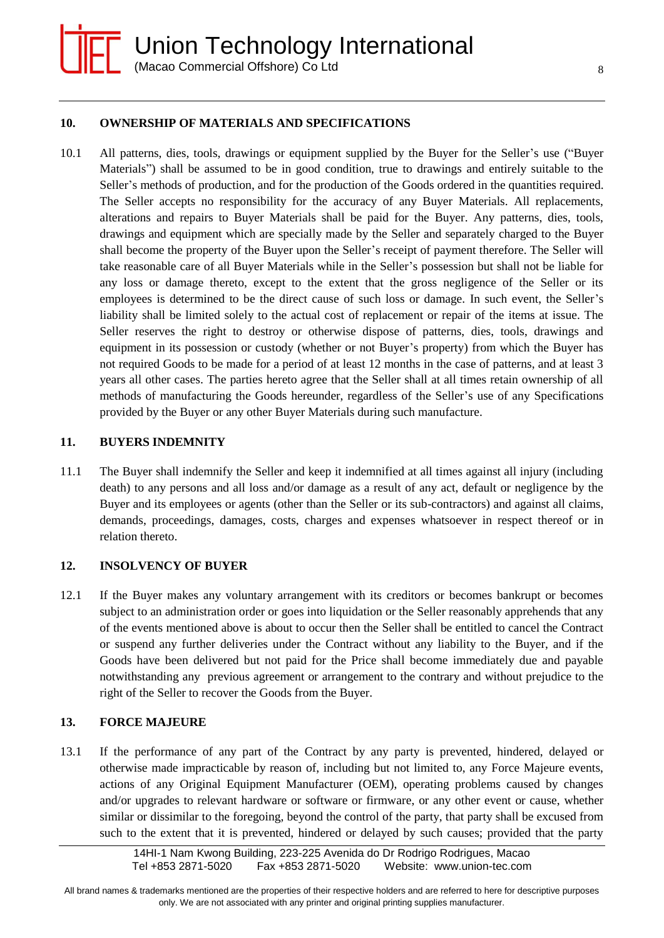

8

### **10. OWNERSHIP OF MATERIALS AND SPECIFICATIONS**

10.1 All patterns, dies, tools, drawings or equipment supplied by the Buyer for the Seller's use ("Buyer Materials") shall be assumed to be in good condition, true to drawings and entirely suitable to the Seller's methods of production, and for the production of the Goods ordered in the quantities required. The Seller accepts no responsibility for the accuracy of any Buyer Materials. All replacements, alterations and repairs to Buyer Materials shall be paid for the Buyer. Any patterns, dies, tools, drawings and equipment which are specially made by the Seller and separately charged to the Buyer shall become the property of the Buyer upon the Seller's receipt of payment therefore. The Seller will take reasonable care of all Buyer Materials while in the Seller's possession but shall not be liable for any loss or damage thereto, except to the extent that the gross negligence of the Seller or its employees is determined to be the direct cause of such loss or damage. In such event, the Seller's liability shall be limited solely to the actual cost of replacement or repair of the items at issue. The Seller reserves the right to destroy or otherwise dispose of patterns, dies, tools, drawings and equipment in its possession or custody (whether or not Buyer's property) from which the Buyer has not required Goods to be made for a period of at least 12 months in the case of patterns, and at least 3 years all other cases. The parties hereto agree that the Seller shall at all times retain ownership of all methods of manufacturing the Goods hereunder, regardless of the Seller's use of any Specifications provided by the Buyer or any other Buyer Materials during such manufacture.

#### **11. BUYERS INDEMNITY**

11.1 The Buyer shall indemnify the Seller and keep it indemnified at all times against all injury (including death) to any persons and all loss and/or damage as a result of any act, default or negligence by the Buyer and its employees or agents (other than the Seller or its sub-contractors) and against all claims, demands, proceedings, damages, costs, charges and expenses whatsoever in respect thereof or in relation thereto.

#### **12. INSOLVENCY OF BUYER**

12.1 If the Buyer makes any voluntary arrangement with its creditors or becomes bankrupt or becomes subject to an administration order or goes into liquidation or the Seller reasonably apprehends that any of the events mentioned above is about to occur then the Seller shall be entitled to cancel the Contract or suspend any further deliveries under the Contract without any liability to the Buyer, and if the Goods have been delivered but not paid for the Price shall become immediately due and payable notwithstanding any previous agreement or arrangement to the contrary and without prejudice to the right of the Seller to recover the Goods from the Buyer.

#### **13. FORCE MAJEURE**

13.1 If the performance of any part of the Contract by any party is prevented, hindered, delayed or otherwise made impracticable by reason of, including but not limited to, any Force Majeure events, actions of any Original Equipment Manufacturer (OEM), operating problems caused by changes and/or upgrades to relevant hardware or software or firmware, or any other event or cause, whether similar or dissimilar to the foregoing, beyond the control of the party, that party shall be excused from such to the extent that it is prevented, hindered or delayed by such causes; provided that the party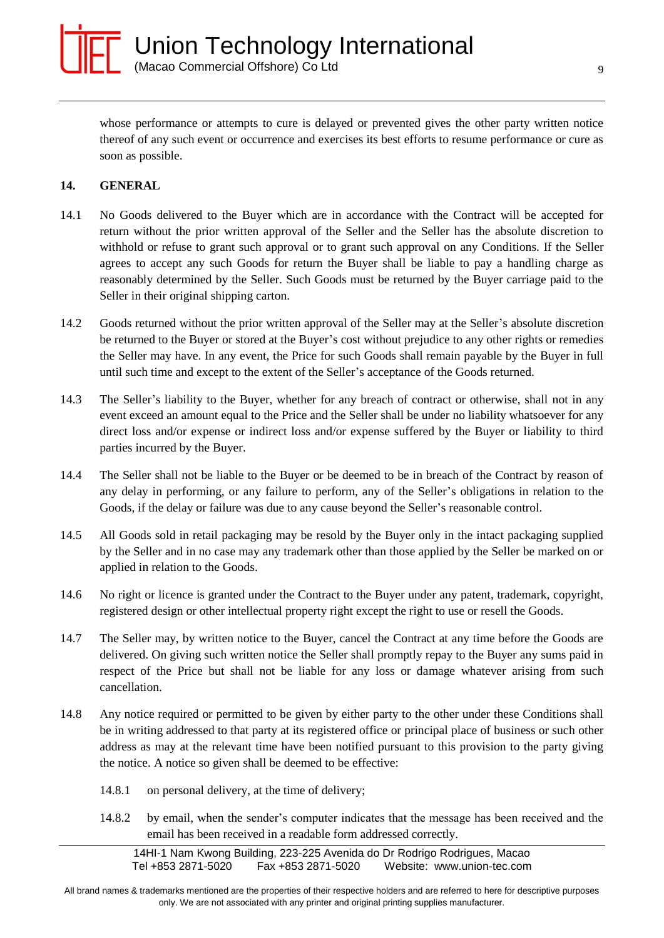

whose performance or attempts to cure is delayed or prevented gives the other party written notice thereof of any such event or occurrence and exercises its best efforts to resume performance or cure as soon as possible.

### **14. GENERAL**

- 14.1 No Goods delivered to the Buyer which are in accordance with the Contract will be accepted for return without the prior written approval of the Seller and the Seller has the absolute discretion to withhold or refuse to grant such approval or to grant such approval on any Conditions. If the Seller agrees to accept any such Goods for return the Buyer shall be liable to pay a handling charge as reasonably determined by the Seller. Such Goods must be returned by the Buyer carriage paid to the Seller in their original shipping carton.
- 14.2 Goods returned without the prior written approval of the Seller may at the Seller's absolute discretion be returned to the Buyer or stored at the Buyer's cost without prejudice to any other rights or remedies the Seller may have. In any event, the Price for such Goods shall remain payable by the Buyer in full until such time and except to the extent of the Seller's acceptance of the Goods returned.
- 14.3 The Seller's liability to the Buyer, whether for any breach of contract or otherwise, shall not in any event exceed an amount equal to the Price and the Seller shall be under no liability whatsoever for any direct loss and/or expense or indirect loss and/or expense suffered by the Buyer or liability to third parties incurred by the Buyer.
- 14.4 The Seller shall not be liable to the Buyer or be deemed to be in breach of the Contract by reason of any delay in performing, or any failure to perform, any of the Seller's obligations in relation to the Goods, if the delay or failure was due to any cause beyond the Seller's reasonable control.
- 14.5 All Goods sold in retail packaging may be resold by the Buyer only in the intact packaging supplied by the Seller and in no case may any trademark other than those applied by the Seller be marked on or applied in relation to the Goods.
- 14.6 No right or licence is granted under the Contract to the Buyer under any patent, trademark, copyright, registered design or other intellectual property right except the right to use or resell the Goods.
- 14.7 The Seller may, by written notice to the Buyer, cancel the Contract at any time before the Goods are delivered. On giving such written notice the Seller shall promptly repay to the Buyer any sums paid in respect of the Price but shall not be liable for any loss or damage whatever arising from such cancellation.
- 14.8 Any notice required or permitted to be given by either party to the other under these Conditions shall be in writing addressed to that party at its registered office or principal place of business or such other address as may at the relevant time have been notified pursuant to this provision to the party giving the notice. A notice so given shall be deemed to be effective:
	- 14.8.1 on personal delivery, at the time of delivery;
	- 14.8.2 by email, when the sender's computer indicates that the message has been received and the email has been received in a readable form addressed correctly.